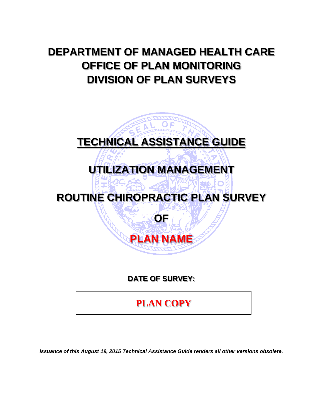# **DEPARTMENT OF MANAGED HEALTH CARE OFFICE OF PLAN MONITORING DIVISION OF PLAN SURVEYS**



**DATE OF SURVEY:** 

**PLAN COPY**

*Issuance of this August 19, 2015 Technical Assistance Guide renders all other versions obsolete.*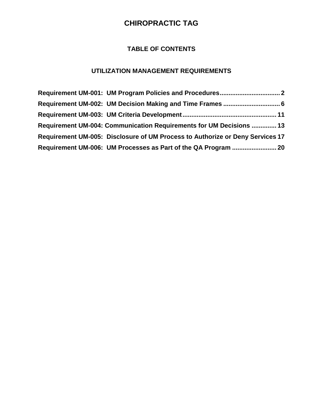# **TABLE OF CONTENTS**

# **UTILIZATION MANAGEMENT REQUIREMENTS**

| Requirement UM-004: Communication Requirements for UM Decisions  13           |  |
|-------------------------------------------------------------------------------|--|
| Requirement UM-005: Disclosure of UM Process to Authorize or Deny Services 17 |  |
|                                                                               |  |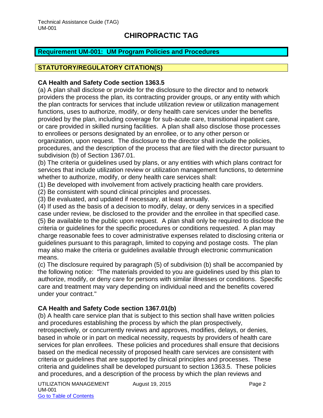#### <span id="page-2-0"></span>**Requirement UM-001: UM Program Policies and Procedures**

# **STATUTORY/REGULATORY CITATION(S)**

#### **CA Health and Safety Code section 1363.5**

(a) A plan shall disclose or provide for the disclosure to the director and to network providers the process the plan, its contracting provider groups, or any entity with which the plan contracts for services that include utilization review or utilization management functions, uses to authorize, modify, or deny health care services under the benefits provided by the plan, including coverage for sub-acute care, transitional inpatient care, or care provided in skilled nursing facilities. A plan shall also disclose those processes to enrollees or persons designated by an enrollee, or to any other person or organization, upon request. The disclosure to the director shall include the policies, procedures, and the description of the process that are filed with the director pursuant to subdivision (b) of Section 1367.01.

(b) The criteria or guidelines used by plans, or any entities with which plans contract for services that include utilization review or utilization management functions, to determine whether to authorize, modify, or deny health care services shall:

(1) Be developed with involvement from actively practicing health care providers.

(2) Be consistent with sound clinical principles and processes.

(3) Be evaluated, and updated if necessary, at least annually.

(4) If used as the basis of a decision to modify, delay, or deny services in a specified case under review, be disclosed to the provider and the enrollee in that specified case. (5) Be available to the public upon request. A plan shall only be required to disclose the criteria or guidelines for the specific procedures or conditions requested. A plan may charge reasonable fees to cover administrative expenses related to disclosing criteria or guidelines pursuant to this paragraph, limited to copying and postage costs. The plan may also make the criteria or guidelines available through electronic communication means.

(c) The disclosure required by paragraph (5) of subdivision (b) shall be accompanied by the following notice: "The materials provided to you are guidelines used by this plan to authorize, modify, or deny care for persons with similar illnesses or conditions. Specific care and treatment may vary depending on individual need and the benefits covered under your contract."

### **CA Health and Safety Code section 1367.01(b)**

(b) A health care service plan that is subject to this section shall have written policies and procedures establishing the process by which the plan prospectively, retrospectively, or concurrently reviews and approves, modifies, delays, or denies, based in whole or in part on medical necessity, requests by providers of health care services for plan enrollees. These policies and procedures shall ensure that decisions based on the medical necessity of proposed health care services are consistent with criteria or guidelines that are supported by clinical principles and processes. These criteria and guidelines shall be developed pursuant to section 1363.5. These policies and procedures, and a description of the process by which the plan reviews and

UTILIZATION MANAGEMENT August 19, 2015 UM-001 Go to Table of Contents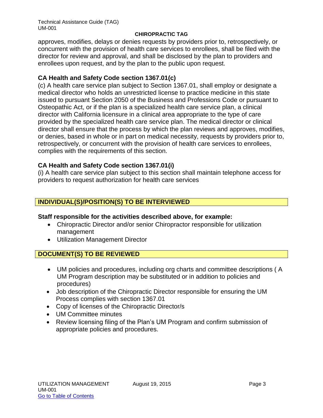Technical Assistance Guide (TAG) UM-001

#### **CHIROPRACTIC TAG**

approves, modifies, delays or denies requests by providers prior to, retrospectively, or concurrent with the provision of health care services to enrollees, shall be filed with the director for review and approval, and shall be disclosed by the plan to providers and enrollees upon request, and by the plan to the public upon request.

#### **CA Health and Safety Code section 1367.01(c)**

(c) A health care service plan subject to Section 1367.01, shall employ or designate a medical director who holds an unrestricted license to practice medicine in this state issued to pursuant Section 2050 of the Business and Professions Code or pursuant to Osteopathic Act, or if the plan is a specialized health care service plan, a clinical director with California licensure in a clinical area appropriate to the type of care provided by the specialized health care service plan. The medical director or clinical director shall ensure that the process by which the plan reviews and approves, modifies, or denies, based in whole or in part on medical necessity, requests by providers prior to, retrospectively, or concurrent with the provision of health care services to enrollees, complies with the requirements of this section.

#### **CA Health and Safety Code section 1367.01(i)**

(i) A health care service plan subject to this section shall maintain telephone access for providers to request authorization for health care services

### **INDIVIDUAL(S)/POSITION(S) TO BE INTERVIEWED**

#### **Staff responsible for the activities described above, for example:**

- Chiropractic Director and/or senior Chiropractor responsible for utilization management
- Utilization Management Director

### **DOCUMENT(S) TO BE REVIEWED**

- UM policies and procedures, including org charts and committee descriptions ( A UM Program description may be substituted or in addition to policies and procedures)
- Job description of the Chiropractic Director responsible for ensuring the UM Process complies with section 1367.01
- Copy of licenses of the Chiropractic Director/s
- UM Committee minutes
- Review licensing filing of the Plan's UM Program and confirm submission of appropriate policies and procedures.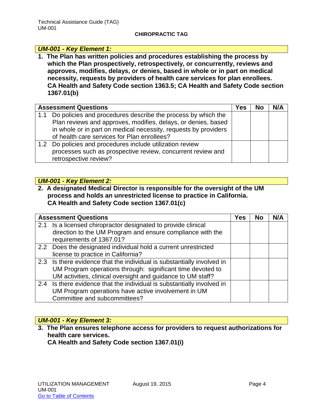#### *UM-001 - Key Element 1:*

**1. The Plan has written policies and procedures establishing the process by which the Plan prospectively, retrospectively, or concurrently, reviews and approves, modifies, delays, or denies, based in whole or in part on medical necessity, requests by providers of health care services for plan enrollees. CA Health and Safety Code section 1363.5; CA Health and Safety Code section 1367.01(b)**

| <b>Assessment Questions</b>                                                                                                                                                                                                                         |  | No | N/A |
|-----------------------------------------------------------------------------------------------------------------------------------------------------------------------------------------------------------------------------------------------------|--|----|-----|
| 1.1 Do policies and procedures describe the process by which the<br>Plan reviews and approves, modifies, delays, or denies, based<br>in whole or in part on medical necessity, requests by providers<br>of health care services for Plan enrollees? |  |    |     |
| 1.2 Do policies and procedures include utilization review<br>processes such as prospective review, concurrent review and<br>retrospective review?                                                                                                   |  |    |     |

#### *UM-001 - Key Element 2:*

#### **2. A designated Medical Director is responsible for the oversight of the UM process and holds an unrestricted license to practice in California. CA Health and Safety Code section 1367.01(c)**

| <b>Assessment Questions</b>                                            | Yes | <b>No</b> | N/A |
|------------------------------------------------------------------------|-----|-----------|-----|
| 2.1 Is a licensed chiropractor designated to provide clinical          |     |           |     |
| direction to the UM Program and ensure compliance with the             |     |           |     |
| requirements of 1367.01?                                               |     |           |     |
| 2.2 Does the designated individual hold a current unrestricted         |     |           |     |
| license to practice in California?                                     |     |           |     |
| 2.3 Is there evidence that the individual is substantially involved in |     |           |     |
| UM Program operations through: significant time devoted to             |     |           |     |
| UM activities, clinical oversight and guidance to UM staff?            |     |           |     |
| 2.4 Is there evidence that the individual is substantially involved in |     |           |     |
| UM Program operations have active involvement in UM                    |     |           |     |
| Committee and subcommittees?                                           |     |           |     |

### *UM-001 - Key Element 3:*

**3. The Plan ensures telephone access for providers to request authorizations for health care services.** 

**CA Health and Safety Code section 1367.01(i)**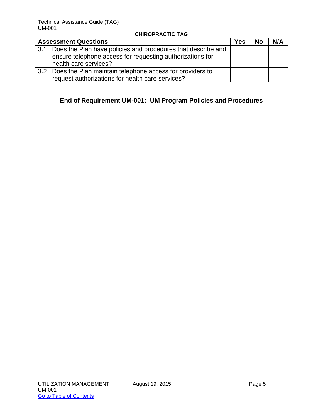|               | <b>Assessment Questions</b>                                                                                               | <b>Yes</b> | <b>No</b> | N/A |
|---------------|---------------------------------------------------------------------------------------------------------------------------|------------|-----------|-----|
| 3.1           | Does the Plan have policies and procedures that describe and<br>ensure telephone access for requesting authorizations for |            |           |     |
|               | health care services?                                                                                                     |            |           |     |
| $3.2^{\circ}$ | Does the Plan maintain telephone access for providers to                                                                  |            |           |     |
|               | request authorizations for health care services?                                                                          |            |           |     |

# **End of Requirement UM-001: UM Program Policies and Procedures**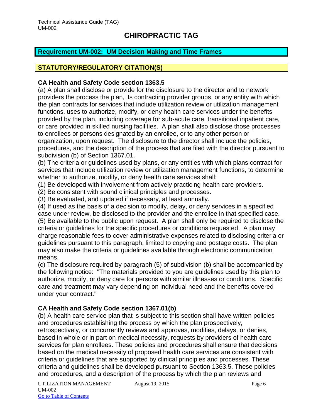# <span id="page-6-0"></span>**Requirement UM-002: UM Decision Making and Time Frames**

# **STATUTORY/REGULATORY CITATION(S)**

#### **CA Health and Safety Code section 1363.5**

(a) A plan shall disclose or provide for the disclosure to the director and to network providers the process the plan, its contracting provider groups, or any entity with which the plan contracts for services that include utilization review or utilization management functions, uses to authorize, modify, or deny health care services under the benefits provided by the plan, including coverage for sub-acute care, transitional inpatient care, or care provided in skilled nursing facilities. A plan shall also disclose those processes to enrollees or persons designated by an enrollee, or to any other person or organization, upon request. The disclosure to the director shall include the policies, procedures, and the description of the process that are filed with the director pursuant to subdivision (b) of Section 1367.01.

(b) The criteria or guidelines used by plans, or any entities with which plans contract for services that include utilization review or utilization management functions, to determine whether to authorize, modify, or deny health care services shall:

(1) Be developed with involvement from actively practicing health care providers.

(2) Be consistent with sound clinical principles and processes.

(3) Be evaluated, and updated if necessary, at least annually.

(4) If used as the basis of a decision to modify, delay, or deny services in a specified case under review, be disclosed to the provider and the enrollee in that specified case. (5) Be available to the public upon request. A plan shall only be required to disclose the criteria or guidelines for the specific procedures or conditions requested. A plan may charge reasonable fees to cover administrative expenses related to disclosing criteria or guidelines pursuant to this paragraph, limited to copying and postage costs. The plan may also make the criteria or guidelines available through electronic communication means.

(c) The disclosure required by paragraph (5) of subdivision (b) shall be accompanied by the following notice: "The materials provided to you are guidelines used by this plan to authorize, modify, or deny care for persons with similar illnesses or conditions. Specific care and treatment may vary depending on individual need and the benefits covered under your contract."

### **CA Health and Safety Code section 1367.01(b)**

(b) A health care service plan that is subject to this section shall have written policies and procedures establishing the process by which the plan prospectively, retrospectively, or concurrently reviews and approves, modifies, delays, or denies, based in whole or in part on medical necessity, requests by providers of health care services for plan enrollees. These policies and procedures shall ensure that decisions based on the medical necessity of proposed health care services are consistent with criteria or guidelines that are supported by clinical principles and processes. These criteria and guidelines shall be developed pursuant to Section 1363.5. These policies and procedures, and a description of the process by which the plan reviews and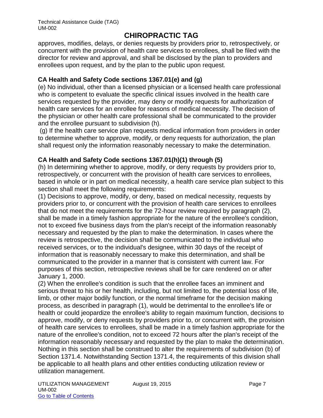approves, modifies, delays, or denies requests by providers prior to, retrospectively, or concurrent with the provision of health care services to enrollees, shall be filed with the director for review and approval, and shall be disclosed by the plan to providers and enrollees upon request, and by the plan to the public upon request.

### **CA Health and Safety Code sections 1367.01(e) and (g)**

(e) No individual, other than a licensed physician or a licensed health care professional who is competent to evaluate the specific clinical issues involved in the health care services requested by the provider, may deny or modify requests for authorization of health care services for an enrollee for reasons of medical necessity. The decision of the physician or other health care professional shall be communicated to the provider and the enrollee pursuant to subdivision (h).

(g) If the health care service plan requests medical information from providers in order to determine whether to approve, modify, or deny requests for authorization, the plan shall request only the information reasonably necessary to make the determination.

### **CA Health and Safety Code sections 1367.01(h)(1) through (5)**

(h) In determining whether to approve, modify, or deny requests by providers prior to, retrospectively, or concurrent with the provision of health care services to enrollees, based in whole or in part on medical necessity, a health care service plan subject to this section shall meet the following requirements:

(1) Decisions to approve, modify, or deny, based on medical necessity, requests by providers prior to, or concurrent with the provision of health care services to enrollees that do not meet the requirements for the 72-hour review required by paragraph (2), shall be made in a timely fashion appropriate for the nature of the enrollee's condition, not to exceed five business days from the plan's receipt of the information reasonably necessary and requested by the plan to make the determination. In cases where the review is retrospective, the decision shall be communicated to the individual who received services, or to the individual's designee, within 30 days of the receipt of information that is reasonably necessary to make this determination, and shall be communicated to the provider in a manner that is consistent with current law. For purposes of this section, retrospective reviews shall be for care rendered on or after January 1, 2000.

(2) When the enrollee's condition is such that the enrollee faces an imminent and serious threat to his or her health, including, but not limited to, the potential loss of life, limb, or other major bodily function, or the normal timeframe for the decision making process, as described in paragraph (1), would be detrimental to the enrollee's life or health or could jeopardize the enrollee's ability to regain maximum function, decisions to approve, modify, or deny requests by providers prior to, or concurrent with, the provision of health care services to enrollees, shall be made in a timely fashion appropriate for the nature of the enrollee's condition, not to exceed 72 hours after the plan's receipt of the information reasonably necessary and requested by the plan to make the determination. Nothing in this section shall be construed to alter the requirements of subdivision (b) of Section 1371.4. Notwithstanding Section 1371.4, the requirements of this division shall be applicable to all health plans and other entities conducting utilization review or utilization management.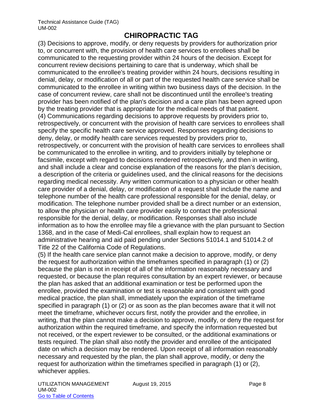(3) Decisions to approve, modify, or deny requests by providers for authorization prior to, or concurrent with, the provision of health care services to enrollees shall be communicated to the requesting provider within 24 hours of the decision. Except for concurrent review decisions pertaining to care that is underway, which shall be communicated to the enrollee's treating provider within 24 hours, decisions resulting in denial, delay, or modification of all or part of the requested health care service shall be communicated to the enrollee in writing within two business days of the decision. In the case of concurrent review, care shall not be discontinued until the enrollee's treating provider has been notified of the plan's decision and a care plan has been agreed upon by the treating provider that is appropriate for the medical needs of that patient. (4) Communications regarding decisions to approve requests by providers prior to, retrospectively, or concurrent with the provision of health care services to enrollees shall specify the specific health care service approved. Responses regarding decisions to deny, delay, or modify health care services requested by providers prior to, retrospectively, or concurrent with the provision of health care services to enrollees shall be communicated to the enrollee in writing, and to providers initially by telephone or facsimile, except with regard to decisions rendered retrospectively, and then in writing, and shall include a clear and concise explanation of the reasons for the plan's decision, a description of the criteria or guidelines used, and the clinical reasons for the decisions regarding medical necessity. Any written communication to a physician or other health care provider of a denial, delay, or modification of a request shall include the name and telephone number of the health care professional responsible for the denial, delay, or modification. The telephone number provided shall be a direct number or an extension, to allow the physician or health care provider easily to contact the professional responsible for the denial, delay, or modification. Responses shall also include information as to how the enrollee may file a grievance with the plan pursuant to Section 1368, and in the case of Medi-Cal enrollees, shall explain how to request an administrative hearing and aid paid pending under Sections 51014.1 and 51014.2 of Title 22 of the California Code of Regulations.

(5) If the health care service plan cannot make a decision to approve, modify, or deny the request for authorization within the timeframes specified in paragraph (1) or (2) because the plan is not in receipt of all of the information reasonably necessary and requested, or because the plan requires consultation by an expert reviewer, or because the plan has asked that an additional examination or test be performed upon the enrollee, provided the examination or test is reasonable and consistent with good medical practice, the plan shall, immediately upon the expiration of the timeframe specified in paragraph (1) or (2) or as soon as the plan becomes aware that it will not meet the timeframe, whichever occurs first, notify the provider and the enrollee, in writing, that the plan cannot make a decision to approve, modify, or deny the request for authorization within the required timeframe, and specify the information requested but not received, or the expert reviewer to be consulted, or the additional examinations or tests required. The plan shall also notify the provider and enrollee of the anticipated date on which a decision may be rendered. Upon receipt of all information reasonably necessary and requested by the plan, the plan shall approve, modify, or deny the request for authorization within the timeframes specified in paragraph (1) or (2), whichever applies.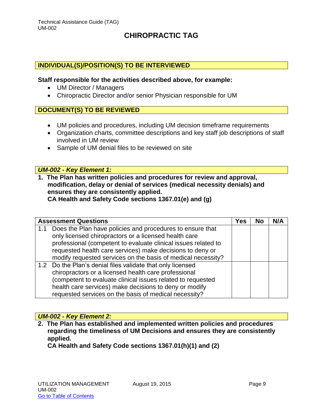#### **INDIVIDUAL(S)/POSITION(S) TO BE INTERVIEWED**

#### **Staff responsible for the activities described above, for example:**

- UM Director / Managers
- Chiropractic Director and/or senior Physician responsible for UM

#### **DOCUMENT(S) TO BE REVIEWED**

- UM policies and procedures, including UM decision timeframe requirements
- Organization charts, committee descriptions and key staff job descriptions of staff involved in UM review
- Sample of UM denial files to be reviewed on site

#### *UM-002 - Key Element 1:*

**1. The Plan has written policies and procedures for review and approval, modification, delay or denial of services (medical necessity denials) and ensures they are consistently applied. CA Health and Safety Code sections 1367.01(e) and (g)** 

|     | <b>Assessment Questions</b>                                    | Yes | <b>No</b> | N/A |
|-----|----------------------------------------------------------------|-----|-----------|-----|
| 1.1 | Does the Plan have policies and procedures to ensure that      |     |           |     |
|     | only licensed chiropractors or a licensed health care          |     |           |     |
|     | professional (competent to evaluate clinical issues related to |     |           |     |
|     | requested health care services) make decisions to deny or      |     |           |     |
|     | modify requested services on the basis of medical necessity?   |     |           |     |
|     | 1.2 Do the Plan's denial files validate that only licensed     |     |           |     |
|     | chiropractors or a licensed health care professional           |     |           |     |
|     | (competent to evaluate clinical issues related to requested    |     |           |     |
|     | health care services) make decisions to deny or modify         |     |           |     |
|     | requested services on the basis of medical necessity?          |     |           |     |

#### *UM-002 - Key Element 2:*

**2. The Plan has established and implemented written policies and procedures regarding the timeliness of UM Decisions and ensures they are consistently applied.** 

**CA Health and Safety Code sections 1367.01(h)(1) and (2)**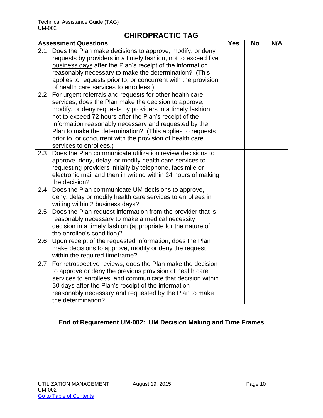|     | <b>Assessment Questions</b>                                                                                                                                                                                                                                                                                                                                                                                                                            | <b>Yes</b> | <b>No</b> | N/A |
|-----|--------------------------------------------------------------------------------------------------------------------------------------------------------------------------------------------------------------------------------------------------------------------------------------------------------------------------------------------------------------------------------------------------------------------------------------------------------|------------|-----------|-----|
| 2.1 | Does the Plan make decisions to approve, modify, or deny<br>requests by providers in a timely fashion, not to exceed five<br>business days after the Plan's receipt of the information<br>reasonably necessary to make the determination? (This<br>applies to requests prior to, or concurrent with the provision<br>of health care services to enrollees.)                                                                                            |            |           |     |
| 2.2 | For urgent referrals and requests for other health care<br>services, does the Plan make the decision to approve,<br>modify, or deny requests by providers in a timely fashion,<br>not to exceed 72 hours after the Plan's receipt of the<br>information reasonably necessary and requested by the<br>Plan to make the determination? (This applies to requests<br>prior to, or concurrent with the provision of health care<br>services to enrollees.) |            |           |     |
| 2.3 | Does the Plan communicate utilization review decisions to<br>approve, deny, delay, or modify health care services to<br>requesting providers initially by telephone, facsimile or<br>electronic mail and then in writing within 24 hours of making<br>the decision?                                                                                                                                                                                    |            |           |     |
|     | 2.4 Does the Plan communicate UM decisions to approve,<br>deny, delay or modify health care services to enrollees in<br>writing within 2 business days?                                                                                                                                                                                                                                                                                                |            |           |     |
| 2.5 | Does the Plan request information from the provider that is<br>reasonably necessary to make a medical necessity<br>decision in a timely fashion (appropriate for the nature of<br>the enrollee's condition)?                                                                                                                                                                                                                                           |            |           |     |
| 2.6 | Upon receipt of the requested information, does the Plan<br>make decisions to approve, modify or deny the request<br>within the required timeframe?                                                                                                                                                                                                                                                                                                    |            |           |     |
| 2.7 | For retrospective reviews, does the Plan make the decision<br>to approve or deny the previous provision of health care<br>services to enrollees, and communicate that decision within<br>30 days after the Plan's receipt of the information<br>reasonably necessary and requested by the Plan to make<br>the determination?                                                                                                                           |            |           |     |

# **End of Requirement UM-002: UM Decision Making and Time Frames**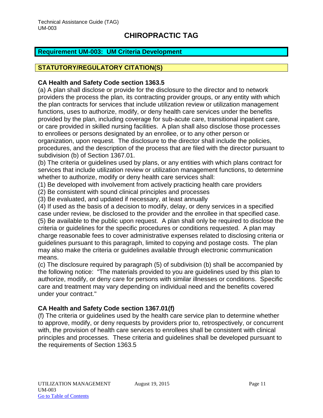### <span id="page-11-0"></span>**Requirement UM-003: UM Criteria Development**

# **STATUTORY/REGULATORY CITATION(S)**

#### **CA Health and Safety Code section 1363.5**

(a) A plan shall disclose or provide for the disclosure to the director and to network providers the process the plan, its contracting provider groups, or any entity with which the plan contracts for services that include utilization review or utilization management functions, uses to authorize, modify, or deny health care services under the benefits provided by the plan, including coverage for sub-acute care, transitional inpatient care, or care provided in skilled nursing facilities. A plan shall also disclose those processes to enrollees or persons designated by an enrollee, or to any other person or organization, upon request. The disclosure to the director shall include the policies, procedures, and the description of the process that are filed with the director pursuant to subdivision (b) of Section 1367.01.

(b) The criteria or guidelines used by plans, or any entities with which plans contract for services that include utilization review or utilization management functions, to determine whether to authorize, modify or deny health care services shall:

(1) Be developed with involvement from actively practicing health care providers

(2) Be consistent with sound clinical principles and processes

(3) Be evaluated, and updated if necessary, at least annually

(4) If used as the basis of a decision to modify, delay, or deny services in a specified case under review, be disclosed to the provider and the enrollee in that specified case. (5) Be available to the public upon request. A plan shall only be required to disclose the criteria or guidelines for the specific procedures or conditions requested. A plan may charge reasonable fees to cover administrative expenses related to disclosing criteria or guidelines pursuant to this paragraph, limited to copying and postage costs. The plan may also make the criteria or guidelines available through electronic communication means.

(c) The disclosure required by paragraph (5) of subdivision (b) shall be accompanied by the following notice: "The materials provided to you are guidelines used by this plan to authorize, modify, or deny care for persons with similar illnesses or conditions. Specific care and treatment may vary depending on individual need and the benefits covered under your contract."

### **CA Health and Safety Code section 1367.01(f)**

(f) The criteria or guidelines used by the health care service plan to determine whether to approve, modify, or deny requests by providers prior to, retrospectively, or concurrent with, the provision of health care services to enrollees shall be consistent with clinical principles and processes. These criteria and guidelines shall be developed pursuant to the requirements of Section 1363.5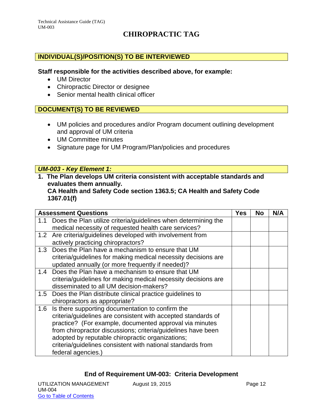### **INDIVIDUAL(S)/POSITION(S) TO BE INTERVIEWED**

#### **Staff responsible for the activities described above, for example:**

- UM Director
- Chiropractic Director or designee
- Senior mental health clinical officer

#### **DOCUMENT(S) TO BE REVIEWED**

- UM policies and procedures and/or Program document outlining development and approval of UM criteria
- UM Committee minutes
- Signature page for UM Program/Plan/policies and procedures

#### *UM-003 - Key Element 1:*

**1. The Plan develops UM criteria consistent with acceptable standards and evaluates them annually.**

#### **CA Health and Safety Code section 1363.5; CA Health and Safety Code 1367.01(f)**

|     | <b>Assessment Questions</b>                                    | Yes | No | N/A |
|-----|----------------------------------------------------------------|-----|----|-----|
| 1.1 | Does the Plan utilize criteria/guidelines when determining the |     |    |     |
|     | medical necessity of requested health care services?           |     |    |     |
|     | 1.2 Are criteria/guidelines developed with involvement from    |     |    |     |
|     | actively practicing chiropractors?                             |     |    |     |
| 1.3 | Does the Plan have a mechanism to ensure that UM               |     |    |     |
|     | criteria/guidelines for making medical necessity decisions are |     |    |     |
|     | updated annually (or more frequently if needed)?               |     |    |     |
|     | 1.4 Does the Plan have a mechanism to ensure that UM           |     |    |     |
|     | criteria/guidelines for making medical necessity decisions are |     |    |     |
|     | disseminated to all UM decision-makers?                        |     |    |     |
| 1.5 | Does the Plan distribute clinical practice guidelines to       |     |    |     |
|     | chiropractors as appropriate?                                  |     |    |     |
| 1.6 | Is there supporting documentation to confirm the               |     |    |     |
|     | criteria/guidelines are consistent with accepted standards of  |     |    |     |
|     | practice? (For example, documented approval via minutes        |     |    |     |
|     | from chiropractor discussions; criteria/guidelines have been   |     |    |     |
|     | adopted by reputable chiropractic organizations;               |     |    |     |
|     | criteria/guidelines consistent with national standards from    |     |    |     |
|     | federal agencies.)                                             |     |    |     |

#### **End of Requirement UM-003: Criteria Development**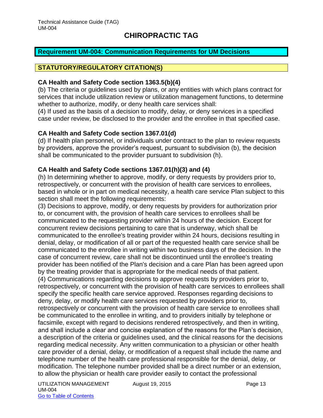#### <span id="page-13-0"></span>**Requirement UM-004: Communication Requirements for UM Decisions**

# **STATUTORY/REGULATORY CITATION(S)**

#### **CA Health and Safety Code section 1363.5(b)(4)**

(b) The criteria or guidelines used by plans, or any entities with which plans contract for services that include utilization review or utilization management functions, to determine whether to authorize, modify, or deny health care services shall:

(4) If used as the basis of a decision to modify, delay, or deny services in a specified case under review, be disclosed to the provider and the enrollee in that specified case.

#### **CA Health and Safety Code section 1367.01(d)**

(d) If health plan personnel, or individuals under contract to the plan to review requests by providers, approve the provider's request, pursuant to subdivision (b), the decision shall be communicated to the provider pursuant to subdivision (h).

#### **CA Health and Safety Code sections 1367.01(h)(3) and (4)**

(h) In determining whether to approve, modify, or deny requests by providers prior to, retrospectively, or concurrent with the provision of health care services to enrollees, based in whole or in part on medical necessity, a health care service Plan subject to this section shall meet the following requirements:

(3) Decisions to approve, modify, or deny requests by providers for authorization prior to, or concurrent with, the provision of health care services to enrollees shall be communicated to the requesting provider within 24 hours of the decision. Except for concurrent review decisions pertaining to care that is underway, which shall be communicated to the enrollee's treating provider within 24 hours, decisions resulting in denial, delay, or modification of all or part of the requested health care service shall be communicated to the enrollee in writing within two business days of the decision. In the case of concurrent review, care shall not be discontinued until the enrollee's treating provider has been notified of the Plan's decision and a care Plan has been agreed upon by the treating provider that is appropriate for the medical needs of that patient. (4) Communications regarding decisions to approve requests by providers prior to, retrospectively, or concurrent with the provision of health care services to enrollees shall specify the specific health care service approved. Responses regarding decisions to deny, delay, or modify health care services requested by providers prior to, retrospectively or concurrent with the provision of health care service to enrollees shall be communicated to the enrollee in writing, and to providers initially by telephone or facsimile, except with regard to decisions rendered retrospectively, and then in writing, and shall include a clear and concise explanation of the reasons for the Plan's decision, a description of the criteria or guidelines used, and the clinical reasons for the decisions regarding medical necessity. Any written communication to a physician or other health care provider of a denial, delay, or modification of a request shall include the name and telephone number of the health care professional responsible for the denial, delay, or modification. The telephone number provided shall be a direct number or an extension, to allow the physician or health care provider easily to contact the professional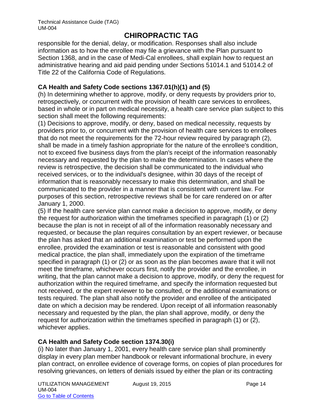responsible for the denial, delay, or modification. Responses shall also include information as to how the enrollee may file a grievance with the Plan pursuant to Section 1368, and in the case of Medi-Cal enrollees, shall explain how to request an administrative hearing and aid paid pending under Sections 51014.1 and 51014.2 of Title 22 of the California Code of Regulations.

### **CA Health and Safety Code sections 1367.01(h)(1) and (5)**

(h) In determining whether to approve, modify, or deny requests by providers prior to, retrospectively, or concurrent with the provision of health care services to enrollees, based in whole or in part on medical necessity, a health care service plan subject to this section shall meet the following requirements:

(1) Decisions to approve, modify, or deny, based on medical necessity, requests by providers prior to, or concurrent with the provision of health care services to enrollees that do not meet the requirements for the 72-hour review required by paragraph (2), shall be made in a timely fashion appropriate for the nature of the enrollee's condition, not to exceed five business days from the plan's receipt of the information reasonably necessary and requested by the plan to make the determination. In cases where the review is retrospective, the decision shall be communicated to the individual who received services, or to the individual's designee, within 30 days of the receipt of information that is reasonably necessary to make this determination, and shall be communicated to the provider in a manner that is consistent with current law. For purposes of this section, retrospective reviews shall be for care rendered on or after January 1, 2000.

(5) If the health care service plan cannot make a decision to approve, modify, or deny the request for authorization within the timeframes specified in paragraph (1) or (2) because the plan is not in receipt of all of the information reasonably necessary and requested, or because the plan requires consultation by an expert reviewer, or because the plan has asked that an additional examination or test be performed upon the enrollee, provided the examination or test is reasonable and consistent with good medical practice, the plan shall, immediately upon the expiration of the timeframe specified in paragraph (1) or (2) or as soon as the plan becomes aware that it will not meet the timeframe, whichever occurs first, notify the provider and the enrollee, in writing, that the plan cannot make a decision to approve, modify, or deny the request for authorization within the required timeframe, and specify the information requested but not received, or the expert reviewer to be consulted, or the additional examinations or tests required. The plan shall also notify the provider and enrollee of the anticipated date on which a decision may be rendered. Upon receipt of all information reasonably necessary and requested by the plan, the plan shall approve, modify, or deny the request for authorization within the timeframes specified in paragraph (1) or (2), whichever applies.

# **CA Health and Safety Code section 1374.30(i)**

(i) No later than January 1, 2001, every health care service plan shall prominently display in every plan member handbook or relevant informational brochure, in every plan contract, on enrollee evidence of coverage forms, on copies of plan procedures for resolving grievances, on letters of denials issued by either the plan or its contracting

UTILIZATION MANAGEMENT August 19, 2015 UM-004 Go to Table of Contents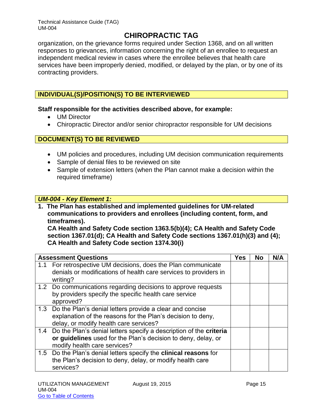organization, on the grievance forms required under Section 1368, and on all written responses to grievances, information concerning the right of an enrollee to request an independent medical review in cases where the enrollee believes that health care services have been improperly denied, modified, or delayed by the plan, or by one of its contracting providers.

# **INDIVIDUAL(S)/POSITION(S) TO BE INTERVIEWED**

**Staff responsible for the activities described above, for example:**

- UM Director
- Chiropractic Director and/or senior chiropractor responsible for UM decisions

# **DOCUMENT(S) TO BE REVIEWED**

- UM policies and procedures, including UM decision communication requirements
- Sample of denial files to be reviewed on site
- Sample of extension letters (when the Plan cannot make a decision within the required timeframe)

### *UM-004 - Key Element 1:*

**1. The Plan has established and implemented guidelines for UM-related communications to providers and enrollees (including content, form, and timeframes). CA Health and Safety Code section 1363.5(b)(4); CA Health and Safety Code**

**section 1367.01(d); CA Health and Safety Code sections 1367.01(h)(3) and (4); CA Health and Safety Code section 1374.30(i)**

| <b>Assessment Questions</b>                                                  | <b>Yes</b> | No | N/A |
|------------------------------------------------------------------------------|------------|----|-----|
| 1.1 For retrospective UM decisions, does the Plan communicate                |            |    |     |
| denials or modifications of health care services to providers in<br>writing? |            |    |     |
| 1.2 Do communications regarding decisions to approve requests                |            |    |     |
| by providers specify the specific health care service                        |            |    |     |
| approved?                                                                    |            |    |     |
| 1.3 Do the Plan's denial letters provide a clear and concise                 |            |    |     |
| explanation of the reasons for the Plan's decision to deny,                  |            |    |     |
| delay, or modify health care services?                                       |            |    |     |
| 1.4 Do the Plan's denial letters specify a description of the criteria       |            |    |     |
| or guidelines used for the Plan's decision to deny, delay, or                |            |    |     |
| modify health care services?                                                 |            |    |     |
| 1.5 Do the Plan's denial letters specify the clinical reasons for            |            |    |     |
| the Plan's decision to deny, delay, or modify health care                    |            |    |     |
| services?                                                                    |            |    |     |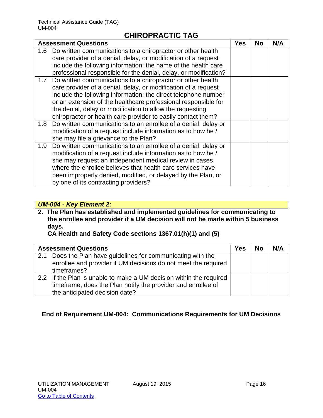|     | <b>Assessment Questions</b>                                                                                                                                                                                                                                                                                                                                                                        | <b>Yes</b> | <b>No</b> | N/A |
|-----|----------------------------------------------------------------------------------------------------------------------------------------------------------------------------------------------------------------------------------------------------------------------------------------------------------------------------------------------------------------------------------------------------|------------|-----------|-----|
|     | 1.6 Do written communications to a chiropractor or other health<br>care provider of a denial, delay, or modification of a request<br>include the following information: the name of the health care<br>professional responsible for the denial, delay, or modification?                                                                                                                            |            |           |     |
|     | 1.7 Do written communications to a chiropractor or other health<br>care provider of a denial, delay, or modification of a request<br>include the following information: the direct telephone number<br>or an extension of the healthcare professional responsible for<br>the denial, delay or modification to allow the requesting<br>chiropractor or health care provider to easily contact them? |            |           |     |
| 1.8 | Do written communications to an enrollee of a denial, delay or<br>modification of a request include information as to how he /<br>she may file a grievance to the Plan?                                                                                                                                                                                                                            |            |           |     |
| 1.9 | Do written communications to an enrollee of a denial, delay or<br>modification of a request include information as to how he /<br>she may request an independent medical review in cases<br>where the enrollee believes that health care services have<br>been improperly denied, modified, or delayed by the Plan, or<br>by one of its contracting providers?                                     |            |           |     |

# *UM-004 - Key Element 2:*

**2. The Plan has established and implemented guidelines for communicating to the enrollee and provider if a UM decision will not be made within 5 business days.** 

**CA Health and Safety Code sections 1367.01(h)(1) and (5)**

|     | <b>Assessment Questions</b>                                                                                                                                           | Yes | <b>No</b> | N/A |
|-----|-----------------------------------------------------------------------------------------------------------------------------------------------------------------------|-----|-----------|-----|
| 2.1 | Does the Plan have guidelines for communicating with the<br>enrollee and provider if UM decisions do not meet the required<br>timeframes?                             |     |           |     |
|     | 2.2 If the Plan is unable to make a UM decision within the required<br>timeframe, does the Plan notify the provider and enrollee of<br>the anticipated decision date? |     |           |     |

### **End of Requirement UM-004: Communications Requirements for UM Decisions**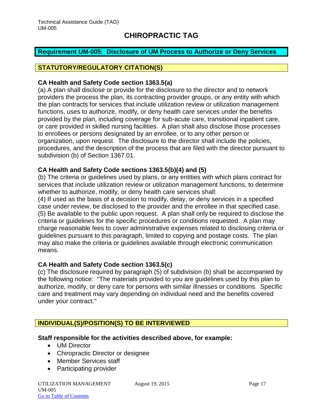#### <span id="page-17-0"></span>**Requirement UM-005: Disclosure of UM Process to Authorize or Deny Services**

### **STATUTORY/REGULATORY CITATION(S)**

#### **CA Health and Safety Code section 1363.5(a)**

(a) A plan shall disclose or provide for the disclosure to the director and to network providers the process the plan, its contracting provider groups, or any entity with which the plan contracts for services that include utilization review or utilization management functions, uses to authorize, modify, or deny health care services under the benefits provided by the plan, including coverage for sub-acute care, transitional inpatient care, or care provided in skilled nursing facilities. A plan shall also disclose those processes to enrollees or persons designated by an enrollee, or to any other person or organization, upon request. The disclosure to the director shall include the policies, procedures, and the description of the process that are filed with the director pursuant to subdivision (b) of Section 1367.01.

#### **CA Health and Safety Code sections 1363.5(b)(4) and (5)**

(b) The criteria or guidelines used by plans, or any entities with which plans contract for services that include utilization review or utilization management functions, to determine whether to authorize, modify, or deny health care services shall:

(4) If used as the basis of a decision to modify, delay, or deny services in a specified case under review, be disclosed to the provider and the enrollee in that specified case. (5) Be available to the public upon request. A plan shall only be required to disclose the criteria or guidelines for the specific procedures or conditions requested. A plan may charge reasonable fees to cover administrative expenses related to disclosing criteria or guidelines pursuant to this paragraph, limited to copying and postage costs. The plan may also make the criteria or guidelines available through electronic communication means.

#### **CA Health and Safety Code section 1363.5(c)**

(c) The disclosure required by paragraph (5) of subdivision (b) shall be accompanied by the following notice: "The materials provided to you are guidelines used by this plan to authorize, modify, or deny care for persons with similar illnesses or conditions. Specific care and treatment may vary depending on individual need and the benefits covered under your contract."

### **INDIVIDUAL(S)/POSITION(S) TO BE INTERVIEWED**

#### **Staff responsible for the activities described above, for example:**

- UM Director
- Chiropractic Director or designee
- Member Services staff
- Participating provider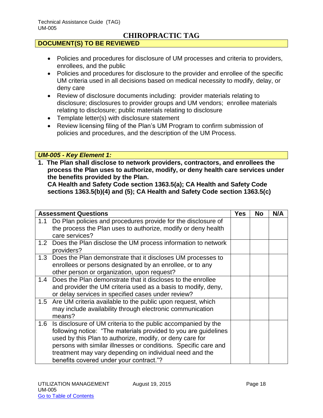### **DOCUMENT(S) TO BE REVIEWED**

- Policies and procedures for disclosure of UM processes and criteria to providers, enrollees, and the public
- Policies and procedures for disclosure to the provider and enrollee of the specific UM criteria used in all decisions based on medical necessity to modify, delay, or deny care
- Review of disclosure documents including: provider materials relating to disclosure; disclosures to provider groups and UM vendors; enrollee materials relating to disclosure; public materials relating to disclosure
- Template letter(s) with disclosure statement
- Review licensing filing of the Plan's UM Program to confirm submission of policies and procedures, and the description of the UM Process.

#### *UM-005 - Key Element 1:*

**1. The Plan shall disclose to network providers, contractors, and enrollees the process the Plan uses to authorize, modify, or deny health care services under the benefits provided by the Plan.** 

**CA Health and Safety Code section 1363.5(a); CA Health and Safety Code sections 1363.5(b)(4) and (5); CA Health and Safety Code section 1363.5(c)**

| <b>Assessment Questions</b>                                                                                                                                                                                                                                                                                                                                                  | Yes | No | N/A |
|------------------------------------------------------------------------------------------------------------------------------------------------------------------------------------------------------------------------------------------------------------------------------------------------------------------------------------------------------------------------------|-----|----|-----|
| Do Plan policies and procedures provide for the disclosure of<br>1.1<br>the process the Plan uses to authorize, modify or deny health<br>care services?                                                                                                                                                                                                                      |     |    |     |
| Does the Plan disclose the UM process information to network<br>1.2<br>providers?                                                                                                                                                                                                                                                                                            |     |    |     |
| 1.3 Does the Plan demonstrate that it discloses UM processes to<br>enrollees or persons designated by an enrollee, or to any<br>other person or organization, upon request?                                                                                                                                                                                                  |     |    |     |
| Does the Plan demonstrate that it discloses to the enrollee<br>1.4<br>and provider the UM criteria used as a basis to modify, deny,<br>or delay services in specified cases under review?                                                                                                                                                                                    |     |    |     |
| 1.5 Are UM criteria available to the public upon request, which<br>may include availability through electronic communication<br>means?                                                                                                                                                                                                                                       |     |    |     |
| 1.6<br>Is disclosure of UM criteria to the public accompanied by the<br>following notice: "The materials provided to you are guidelines<br>used by this Plan to authorize, modify, or deny care for<br>persons with similar illnesses or conditions. Specific care and<br>treatment may vary depending on individual need and the<br>benefits covered under your contract."? |     |    |     |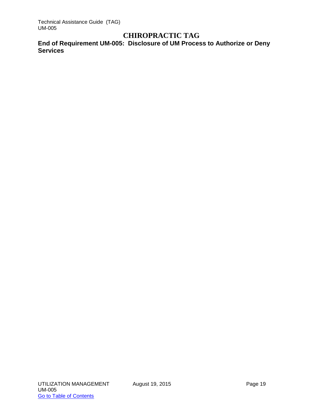Technical Assistance Guide (TAG) UM-005

# **CHIROPRACTIC TAG**

**End of Requirement UM-005: Disclosure of UM Process to Authorize or Deny Services**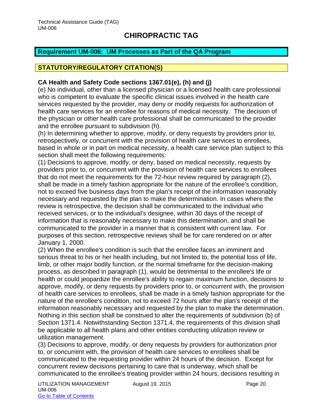#### <span id="page-20-0"></span>**Requirement UM-006: UM Processes as Part of the QA Program**

# **STATUTORY/REGULATORY CITATION(S)**

#### **CA Health and Safety Code sections 1367.01(e), (h) and (j)**

(e) No individual, other than a licensed physician or a licensed health care professional who is competent to evaluate the specific clinical issues involved in the health care services requested by the provider, may deny or modify requests for authorization of health care services for an enrollee for reasons of medical necessity. The decision of the physician or other health care professional shall be communicated to the provider and the enrollee pursuant to subdivision (h).

(h) In determining whether to approve, modify, or deny requests by providers prior to, retrospectively, or concurrent with the provision of health care services to enrollees, based in whole or in part on medical necessity, a health care service plan subject to this section shall meet the following requirements:

(1) Decisions to approve, modify, or deny, based on medical necessity, requests by providers prior to, or concurrent with the provision of health care services to enrollees that do not meet the requirements for the 72-hour review required by paragraph (2), shall be made in a timely fashion appropriate for the nature of the enrollee's condition, not to exceed five business days from the plan's receipt of the information reasonably necessary and requested by the plan to make the determination. In cases where the review is retrospective, the decision shall be communicated to the individual who received services, or to the individual's designee, within 30 days of the receipt of information that is reasonably necessary to make this determination, and shall be communicated to the provider in a manner that is consistent with current law. For purposes of this section, retrospective reviews shall be for care rendered on or after January 1, 2000.

(2) When the enrollee's condition is such that the enrollee faces an imminent and serious threat to his or her health including, but not limited to, the potential loss of life, limb, or other major bodily function, or the normal timeframe for the decision-making process, as described in paragraph (1), would be detrimental to the enrollee's life or health or could jeopardize the enrollee's ability to regain maximum function, decisions to approve, modify, or deny requests by providers prior to, or concurrent with, the provision of health care services to enrollees, shall be made in a timely fashion appropriate for the nature of the enrollee's condition, not to exceed 72 hours after the plan's receipt of the information reasonably necessary and requested by the plan to make the determination. Nothing in this section shall be construed to alter the requirements of subdivision (b) of Section 1371.4. Notwithstanding Section 1371.4, the requirements of this division shall be applicable to all health plans and other entities conducting utilization review or utilization management.

(3) Decisions to approve, modify, or deny requests by providers for authorization prior to, or concurrent with, the provision of health care services to enrollees shall be communicated to the requesting provider within 24 hours of the decision. Except for concurrent review decisions pertaining to care that is underway, which shall be communicated to the enrollee's treating provider within 24 hours, decisions resulting in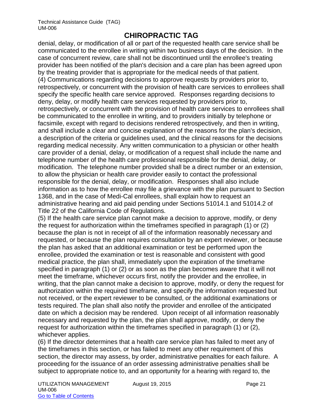denial, delay, or modification of all or part of the requested health care service shall be communicated to the enrollee in writing within two business days of the decision. In the case of concurrent review, care shall not be discontinued until the enrollee's treating provider has been notified of the plan's decision and a care plan has been agreed upon by the treating provider that is appropriate for the medical needs of that patient. (4) Communications regarding decisions to approve requests by providers prior to, retrospectively, or concurrent with the provision of health care services to enrollees shall specify the specific health care service approved. Responses regarding decisions to deny, delay, or modify health care services requested by providers prior to, retrospectively, or concurrent with the provision of health care services to enrollees shall be communicated to the enrollee in writing, and to providers initially by telephone or facsimile, except with regard to decisions rendered retrospectively, and then in writing, and shall include a clear and concise explanation of the reasons for the plan's decision, a description of the criteria or guidelines used, and the clinical reasons for the decisions regarding medical necessity. Any written communication to a physician or other health care provider of a denial, delay, or modification of a request shall include the name and telephone number of the health care professional responsible for the denial, delay, or modification. The telephone number provided shall be a direct number or an extension, to allow the physician or health care provider easily to contact the professional responsible for the denial, delay, or modification. Responses shall also include information as to how the enrollee may file a grievance with the plan pursuant to Section 1368, and in the case of Medi-Cal enrollees, shall explain how to request an administrative hearing and aid paid pending under Sections 51014.1 and 51014.2 of Title 22 of the California Code of Regulations.

(5) If the health care service plan cannot make a decision to approve, modify, or deny the request for authorization within the timeframes specified in paragraph (1) or (2) because the plan is not in receipt of all of the information reasonably necessary and requested, or because the plan requires consultation by an expert reviewer, or because the plan has asked that an additional examination or test be performed upon the enrollee, provided the examination or test is reasonable and consistent with good medical practice, the plan shall, immediately upon the expiration of the timeframe specified in paragraph (1) or (2) or as soon as the plan becomes aware that it will not meet the timeframe, whichever occurs first, notify the provider and the enrollee, in writing, that the plan cannot make a decision to approve, modify, or deny the request for authorization within the required timeframe, and specify the information requested but not received, or the expert reviewer to be consulted, or the additional examinations or tests required. The plan shall also notify the provider and enrollee of the anticipated date on which a decision may be rendered. Upon receipt of all information reasonably necessary and requested by the plan, the plan shall approve, modify, or deny the request for authorization within the timeframes specified in paragraph (1) or (2), whichever applies.

(6) If the director determines that a health care service plan has failed to meet any of the timeframes in this section, or has failed to meet any other requirement of this section, the director may assess, by order, administrative penalties for each failure. A proceeding for the issuance of an order assessing administrative penalties shall be subject to appropriate notice to, and an opportunity for a hearing with regard to, the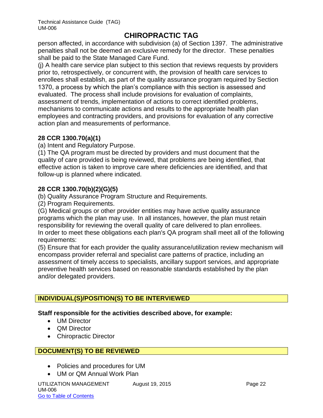person affected, in accordance with subdivision (a) of Section 1397. The administrative penalties shall not be deemed an exclusive remedy for the director. These penalties shall be paid to the State Managed Care Fund.

(j) A health care service plan subject to this section that reviews requests by providers prior to, retrospectively, or concurrent with, the provision of health care services to enrollees shall establish, as part of the quality assurance program required by Section 1370, a process by which the plan's compliance with this section is assessed and evaluated. The process shall include provisions for evaluation of complaints, assessment of trends, implementation of actions to correct identified problems, mechanisms to communicate actions and results to the appropriate health plan employees and contracting providers, and provisions for evaluation of any corrective action plan and measurements of performance.

### **28 CCR 1300.70(a)(1)**

(a) Intent and Regulatory Purpose.

(1) The QA program must be directed by providers and must document that the quality of care provided is being reviewed, that problems are being identified, that effective action is taken to improve care where deficiencies are identified, and that follow-up is planned where indicated.

#### **28 CCR 1300.70(b)(2)(G)(5)**

(b) Quality Assurance Program Structure and Requirements.

(2) Program Requirements.

(G) Medical groups or other provider entities may have active quality assurance programs which the plan may use. In all instances, however, the plan must retain responsibility for reviewing the overall quality of care delivered to plan enrollees. In order to meet these obligations each plan's QA program shall meet all of the following requirements:

(5) Ensure that for each provider the quality assurance/utilization review mechanism will encompass provider referral and specialist care patterns of practice, including an assessment of timely access to specialists, ancillary support services, and appropriate preventive health services based on reasonable standards established by the plan and/or delegated providers.

# **INDIVIDUAL(S)/POSITION(S) TO BE INTERVIEWED**

#### **Staff responsible for the activities described above, for example:**

- UM Director
- **QM Director**
- Chiropractic Director

### **DOCUMENT(S) TO BE REVIEWED**

- Policies and procedures for UM
- UM or QM Annual Work Plan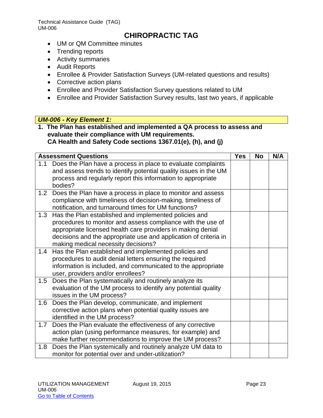Technical Assistance Guide (TAG) UM-006

# **CHIROPRACTIC TAG**

- UM or QM Committee minutes
- Trending reports
- Activity summaries
- Audit Reports
- Enrollee & Provider Satisfaction Surveys (UM-related questions and results)
- Corrective action plans
- Enrollee and Provider Satisfaction Survey questions related to UM
- Enrollee and Provider Satisfaction Survey results, last two years, if applicable

#### *UM-006 - Key Element 1:*

**1. The Plan has established and implemented a QA process to assess and evaluate their compliance with UM requirements. CA Health and Safety Code sections 1367.01(e), (h), and (j)**

|     | <b>Assessment Questions</b>                                                                                                                                                                                                                                                                    | <b>Yes</b> | <b>No</b> | N/A |
|-----|------------------------------------------------------------------------------------------------------------------------------------------------------------------------------------------------------------------------------------------------------------------------------------------------|------------|-----------|-----|
| 1.1 | Does the Plan have a process in place to evaluate complaints<br>and assess trends to identify potential quality issues in the UM<br>process and regularly report this information to appropriate<br>bodies?                                                                                    |            |           |     |
| 1.2 | Does the Plan have a process in place to monitor and assess<br>compliance with timeliness of decision-making, timeliness of<br>notification, and turnaround times for UM functions?                                                                                                            |            |           |     |
| 1.3 | Has the Plan established and implemented policies and<br>procedures to monitor and assess compliance with the use of<br>appropriate licensed health care providers in making denial<br>decisions and the appropriate use and application of criteria in<br>making medical necessity decisions? |            |           |     |
| 1.4 | Has the Plan established and implemented policies and<br>procedures to audit denial letters ensuring the required<br>information is included, and communicated to the appropriate<br>user, providers and/or enrollees?                                                                         |            |           |     |
| 1.5 | Does the Plan systematically and routinely analyze its<br>evaluation of the UM process to identify any potential quality<br>issues in the UM process?                                                                                                                                          |            |           |     |
| 1.6 | Does the Plan develop, communicate, and implement<br>corrective action plans when potential quality issues are<br>identified in the UM process?                                                                                                                                                |            |           |     |
| 1.7 | Does the Plan evaluate the effectiveness of any corrective<br>action plan (using performance measures, for example) and<br>make further recommendations to improve the UM process?                                                                                                             |            |           |     |
| 1.8 | Does the Plan systemically and routinely analyze UM data to<br>monitor for potential over and under-utilization?                                                                                                                                                                               |            |           |     |